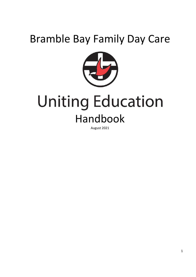# Bramble Bay Family Day Care



# **Uniting Education** Handbook

August 2021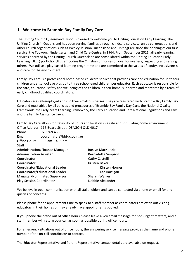# <span id="page-1-0"></span>**1. Welcome to Bramble Bay Family Day Care**

The Uniting Church Queensland Synod is pleased to welcome you to Uniting Education Early Learning. The Uniting Church in Queensland has been serving families through childcare services, run by congregations and other church organisations such as Wesley Mission Queensland and UnitingCare since the opening of our first service, the Toowong Kindergarten and Child Care Centre, in 1964. From September 2021, all early learning services operated by the Uniting Church Queensland are consolidated within the Uniting Education Early Learning (UEEL) portfolio. UEEL embodies the Christian principles of love, forgiveness, respecting and serving others. We utilise a play-based learning programme and are committed to the values of equity, inclusiveness and care for the environment.

Family Day Care is a professional home-based childcare service that provides care and education for up to four children under school age plus up to three school-aged children per educator. Each educator is responsible for the care, education, safety and wellbeing of the children in their home, supported and mentored by a team of early childhood qualified coordinators.

Educators are self-employed and run their small businesses. They are registered with Bramble Bay Family Day Care and must abide by all policies and procedures of Bramble Bay Family Day Care, the National Quality Framework, the Early Years Learning Framework, the Early Education and Care National Regulations and Law, and the Family Assistance Laws.

Family Day Care allows for flexibility of hours and location in a safe and stimulating home environment.

|                                       | Office Address 116 Board Street, DEAGON QLD 4017 |                    |
|---------------------------------------|--------------------------------------------------|--------------------|
| Phone                                 | 07 3269 4383                                     |                    |
| Email                                 | coordinator@bbfdc.com.au                         |                    |
| Office Hours                          | $9.00$ am $- 4.00$ pm                            |                    |
| Staff                                 |                                                  |                    |
| <b>Administration/Finance Manager</b> |                                                  | Roslyn MacKenzie   |
| Administration Assistant              |                                                  | Bernadette Simpson |
| Coordinator                           |                                                  | Cathy Castelli     |
| Coordinator                           |                                                  | Kristen Baker      |
| Coordinator/Educational Leader        |                                                  | Kirsten Horner     |
| Coordinator/Educational Leader        |                                                  | Kat Hartigan       |
| Manager/Nominated Supervisor          |                                                  | Sharyn Walker      |
| <b>Play Session Coordinator</b>       |                                                  | Debbie Alexander   |
|                                       |                                                  |                    |

We believe in open communication with all stakeholders and can be contacted via phone or email for any queries or concerns.

Please phone for an appointment time to speak to a staff member as coordinators are often out visiting educators in their homes or may already have appointments booked.

If you phone the office out of office hours please leave a voicemail message for non-urgent matters, and a staff member will return your call as soon as possible during office hours.

For emergency situations out of office hours, the answering service message provides the name and phone number of the on-call coordinator to contact.

The Educator Representative and Parent Representative contact details are available on request.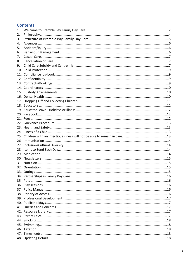# **Contents**

| 1.  |  |
|-----|--|
| 2.  |  |
| 3.  |  |
| 4.  |  |
| 5.  |  |
| 6.  |  |
| 7.  |  |
| 8.  |  |
| 9.  |  |
|     |  |
| 11. |  |
|     |  |
|     |  |
|     |  |
|     |  |
|     |  |
| 17. |  |
|     |  |
|     |  |
|     |  |
|     |  |
|     |  |
|     |  |
|     |  |
|     |  |
|     |  |
|     |  |
|     |  |
|     |  |
|     |  |
|     |  |
|     |  |
|     |  |
| 34. |  |
|     |  |
|     |  |
|     |  |
|     |  |
|     |  |
|     |  |
|     |  |
|     |  |
|     |  |
|     |  |
|     |  |
|     |  |
|     |  |
|     |  |
|     |  |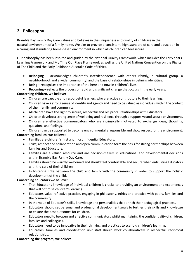# <span id="page-3-0"></span>**2. Philosophy**

Bramble Bay Family Day Care values and believes in the uniqueness and quality of childcare in the natural environment of a family home. We aim to provide a consistent, high standard of care and education in a caring and stimulating home-based environment in which all children can feel secure.

Our philosophy has been inspired and guided by the National Quality Framework, which includes the Early Years Learning Framework and My Time Our Place Framework as well as the United Nations Convention on the Rights of The Child and the Early Childhood Australia Code of Ethics.

- **Belonging** acknowledges children's interdependence with others (family, a cultural group, a neighborhood, and a wider community) and the basis of relationships in defining identities.
- **Being** recognises the importance of the here and now in children's lives.
- **Becoming** reflects the process of rapid and significant change that occurs in the early years.

#### **Concerning children, we believe:**

- Children are capable and resourceful learners who are active contributors to their learning.
- Children have a strong sense of identity and agency and need to be valued as individuals within the context of their family and community.
- All children have the right to secure, respectful and reciprocal relationships with Educators.
- Children develop a strong sense of wellbeing and resilience through a supportive and secure environment.
- Children are effective communicators who are intrinsically motivated to exchange ideas, thoughts, questions and feelings.
- Children can be supported to become environmentally responsible and show respect for the environment.

#### **Concerning families, we believe:**

- Families are children's first and most influential Educators.
- Trust, respect and collaboration and open communication form the basis forstrong partnerships between families and Educators.
- Families are a valued resource and are decision-makers in educational and developmental decisions within Bramble Bay Family Day Care.
- Families should be warmly welcomed and should feel comfortable and secure when entrusting Educators with the care of their children.
- In fostering links between the child and family with the community in order to support the holistic development of the child.

#### **Concerning educators we believe:**

- That Educator's knowledge of individual children is crucial to providing an environment and experiences that will optimise children's learning.
- Educators value reflective practice, engaging in philosophy, ethics and practice with peers, families and the community.
- In the value of Educator's skills, knowledge and personalities that enrich their pedagogical practices.
- Educators should set personal and professional development goals to further their skills and knowledge to ensure the best outcomes for children.
- Educators need to be open and effective communicators whilst maintaining the confidentiality of children, families and colleagues.
- Educators need to be innovative in their thinking and practices to scaffold children's learning.
- Educators, families and coordination unit staff should work collaboratively in respectful, reciprocal relationships.

#### **Concerning the program, we believe:**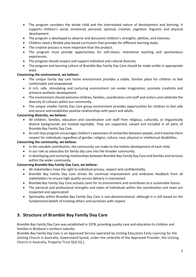- The program considers the whole child and the interrelated nature of development and learning. It supports children's social, emotional, personal, spiritual, creative, cognitive, linguistic and physical development.
- The program is developed to observe and document children's strengths, abilities, and interests.
- Children need a flexible play-based curriculum that provides for different learning styles.
- The creative process is more important than the product.
- The program must provide opportunities for self-choice, intentional teaching and spontaneous experiences.
- The program should respect and support individual and cultural diversity.
- The program and learning culture of Bramble Bay Family Day Care should be made visible in appropriate ways.

#### **Concerning the environment, we believe:**

- The unique family day care home environment provides a stable, familiar place for children to feel comfortable and empowered.
- A rich, safe, stimulating and nurturing environment can evoke imagination, promote creativity and enhance aesthetic development.
- The environment should welcome children, families, coordination unit staff and visitors and celebrate the diversity of cultures within our community.
- The unique smaller Family Day Care group environment provides opportunities for children to feel safe and secure and establishes positive relationships with peers and adults.

#### **Concerning diversity, we believe:**

- All children, families, educators and coordination unit staff from religious, culturally, or linguistically diverse backgrounds are treated equitably. They are supported, valued and included in all parts of Bramble Bay Family Day Care.
- An anti-bias program encourages children's awareness of similarities between people, and it teaches them respect for individuals regardless of gender, religion, culture, race, physical or intellectual disabilities.

#### **Concerning the community, we believe:**

- In the valuable contribution, the community can make to the holistic development of each child.
- In our role as advocates for family day care into the broader community.
- In developing and nurturing relationships between Bramble Bay Family Day Care and families and services within the wider community.

#### **Concerning Bramble Bay Family Day Care, we believe:**

- All stakeholders have the right to individual privacy, respect and confidentiality.
- Bramble Bay Family Day Care strives for continual improvement and embraces feedback from all stakeholders to ensure high-quality service delivery is maintained.
- Bramble Bay Family Day Care actively cares for its environment and contributes to a sustainable future.
- The personal and professional strengths and styles of individuals within the coordination unit team are respected and appreciated.
- Spirituality within Bramble Bay Family Day Care is non-denominational, although it is still based on the fundamental beliefs of treating others and ourselves with respect.

# <span id="page-4-0"></span>**3. Structure of Bramble Bay Family Day Care**

Bramble Bay Family Day Care was established in 1978, providing quality care and education to children and families in Brisbane's northern suburbs.

Bramble Bay Family Day Care is an Approved Service operated by Uniting Education Early Learning for the Uniting Church in Australia, Queensland Synod, under the umbrella of the Approved Provider, the Uniting Church in Australia, Property Trust QLD (Q.).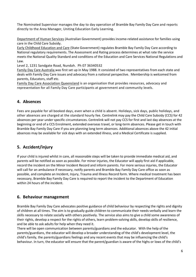The Nominated Supervisor manages the day to day operation of Bramble Bay Family Day Care and reports directly to the Area Manager, Uniting Education Early Learning.

Department of Human Services (Australian Government) provides income-related assistance for families using care in the Child Care Subsidy.

Early Childhood Education and Care (State Government) regulates Bramble Bay Family Day Care according to National regulatory requirements. The Assessment and Rating process determines at what rate the service meets the National Quality Standard and conditions of the Education and Care Services National Regulations and Law.

Level 2, 1231 Sandgate Road, Nundah. Ph 07 36340532

Family Day Care Australia was first set up in May 1988. It consisted of two representatives from each state and deals with Family Day Care issues and advocacy from a national perspective. Membership is welcomed from parents, Educators, staff etc.

Family Day Care Association Queensland is an organisation that provides resources, advocacy and representation for all Family Day Care participants at government and community levels.

# <span id="page-5-0"></span>**4. Absences**

Fees are payable for all booked days, even when a child is absent. Holidays, sick days, public holidays, and other absences are charged at the standard hourly fee. Centrelink may pay the Child Care Subsidy (CCS) for 42 absences per year under specific circumstances. Centrelink will not pay CCS for first and last day absences at the beginning or end of a CCS Enrolment, extended overseas travel, or long-term absences. Please get in touch with Bramble Bay Family Day Care if you are planning long term absences. Additional absences above the 42 initial absences may be available for sick days with an extended illness, and a Medical Certificate is supplied.

# <span id="page-5-1"></span>**5. Accident/injury**

If your child is injured whilst in care, all reasonable steps will be taken to provide immediate medical aid, and parents will be notified as soon as possible. For minor injuries, the Educator will apply first aid if applicable, record the incident on the Minor Incident Record and inform parents. For more serious injuries, the Educator will call for an ambulance if necessary, notify parents and Bramble Bay Family Day Care office as soon as possible, and complete an Incident, Injury, Trauma and Illness Record form. Where medical treatment has been necessary, Bramble Bay Family Day Care is required to report the incident to the Department of Education within 24 hours of the incident.

#### <span id="page-5-2"></span>**6. Behaviour management**

Bramble Bay Family Day Care advocates positive guidance of child behaviour by respecting the rights and dignity of children at all times. The aim is to gradually guide children to communicate their needs verbally and learn the skills necessary to relate socially with others positively. The service also aims to give a child some awareness of their rights, develop a respect for the rights of others, learn problem-solving skills, develop skills of resilience, and be able to ask adults for help when they need it.

There will be open communication between parents/guardians and the educator. With the help of the parents/guardians, the educator will develop a broader understanding of the child's development level, the child's family, the parents/guardians feelings and any recent events that may be influencing the child's behaviour. In turn, the educator will ensure that the parent/guardian is aware of the highs or lows of the child's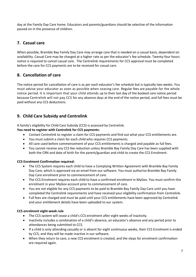day at the Family Day Care home. Educators and parents/guardians should be selective of the information passed on in the presence of children.

# <span id="page-6-0"></span>**7. Casual care**

When possible, Bramble Bay Family Day Care may arrange care that is needed on a casual basis, dependent on availability. Casual Care may be charged at a higher rate as per the educator's fee schedule. Twenty-four hours notice is required to cancel casual care. The Centrelink requirements for CCS approval must be completed before the care for CCS payments are to be received for casual care.

# <span id="page-6-1"></span>**8. Cancellation of care**

The notice period for cancellation of care is as per each educator's fee schedule but is typically two weeks. You must advise your educator as soon as possible when ceasing care. Regular fees are payable for the whole notice period. It is important that your child attends up to their last day of the booked care notice period because Centrelink will not pay CCS for any absence days at the end of the notice period, and full fees must be paid without any CCS deductions.

# <span id="page-6-2"></span>**9. Child Care Subsidy and Centrelink**

A family's eligibility for Child Care Subsidy (CCS) is assessed by Centrelink.

#### **You need to register with Centrelink for CCS payments:**

- Contact Centrelink to register a claim for CCS payments and find out what your CCS entitlements are.
- You must submit a claim for each child who requires CCS payments.
- All care used before commencement of your CCS entitlements is charged and payable as full fees.
- You cannot receive any CCS fee reduction unless Bramble Bay Family Day Care has been supplied with both the CRN and date of birth for the parent/guardian and child to create the CCS Enrolment.

#### **CCS Enrolment Confirmation required:**

- The CCS System requires each child to have a Complying Written Agreement with Bramble Bay Family Day Care, which is approved via an email from our software. You must authorise Bramble Bay Family Day Care enrolment prior to commencement of care.
- The CCS Enrolment requires each child to have a confirmed enrolment in MyGov. You must confirm this enrolment in your MyGov account prior to commencement of care.
- You are not eligible for any CCS payments to be paid to Bramble Bay Family Day Care until you have completed the Centrelink requirements and have received your eligibility confirmation from Centrelink.
- Full fees are charged and must be paid until your CCS entitlements have been approved by Centrelink and your entitlement details have been uploaded to our system.

#### **CCS enrolment eight-week rule**

- The CCS system will cease a child's CCS enrolment after eight weeks of inactivity.
- Inactivity includes a combination of a child's absence, an educator's absence and any period prior to attendances being submitted to CCS.
- If a child is only attending casually or is absent for eight continuous weeks, their CCS Enrolment is ended by CCS, and they will be made inactive in our software.
- When they return to care, a new CCS enrolment is created, and the steps for enrolment confirmation are required again.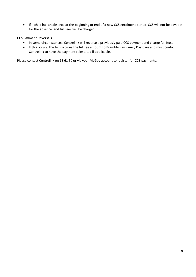• If a child has an absence at the beginning or end of a new CCS enrolment period, CCS will not be payable for the absence, and full fees will be charged.

#### **CCS Payment Reversals**

- In some circumstances, Centrelink will reverse a previously paid CCS payment and charge full fees.
- If this occurs, the family owes the full fee amount to Bramble Bay Family Day Care and must contact Centrelink to have the payment reinstated if applicable.

Please contact Centrelink on 13 61 50 or via your MyGov account to register for CCS payments.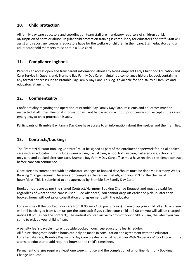# <span id="page-8-0"></span>**10. Child protection**

All family day care educators and coordination team staff are mandatory reporters of children at risk of/suspicion of harm or abuse. Regular child protection training is compulsory for educators and staff. Staff will assist and report any concerns educators have for the welfare of children in their care. Staff, educators and all adult household members must obtain a Blue Card.

# <span id="page-8-1"></span>**11. Compliance logbook**

Parents can access open and transparent information about any Non-Compliant Early Childhood Education and Care Service in Queensland. Bramble Bay Family Day Care maintains a compliance history logbook containing any formal notices issued to Bramble Bay Family Day Care. This log is available for perusal by all families and educators at any time.

# <span id="page-8-2"></span>**12. Confidentiality**

Confidentiality regarding the operation of Bramble Bay Family Day Care, its clients and educators must be respected at all times. Personal information will not be passed on without prior permission, except in the case of emergency or child protection issues.

Participants of Bramble Bay Family Day Care have access to all information about themselves and their families.

# <span id="page-8-3"></span>**13. Contracts/bookings**

The "Parent/Educator Booking Contract" must be signed as part of the enrolment paperwork for initial booked care with an educator. This includes weekly care, casual care, school holiday care, rostered care, school term only care and booked alternate care. Bramble Bay Family Day Care office must have received the signed contract before care can commence.

Once care has commenced with an educator, changes to booked days/hours must be done via Harmony Web's Booking Change Request. The educator completes the request details, and your PIN for the change of hours/days. This is submitted to and approved by Bramble Bay Family Day Care.

Booked hours are as per the signed Contract/Harmony Booking Change Request and must be paid for, regardless of whether the care is used. (See Absences) You cannot drop off earlier or pick up later than booked hours without prior consultation and agreement with the educator.

For example - If the booked hours are from 8.00 am - 4.00 pm (8 hours): If you drop your child off at 10 am, you will still be charged from 8 am (as per the contract); If you collect your child at 2.00 pm you will still be charged until 4.00 pm (as per the contract); The earliest you can arrive to drop off your child is 8 am, the latest you can come to pick up your child is 4 pm.

A penalty fee is payable if care is outside booked hours (see educator's fee Schedule). All future changes to booked hours can only be made in consultation and agreement with the educator. For alternate care, Bramble Bay Family Day Care creates a casual "Guardian With No Sessions" booking with the alternate educator to add required hours to the child's timesheet.

Permanent changes require at least one week's notice and the completion of an online Harmony Booking Change Request.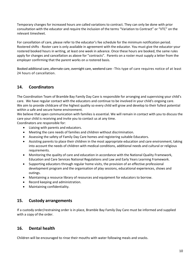Temporary changes for increased hours are called variations to contract. They can only be done with prior consultation with the educator and require the inclusion of the terms "Variation to Contract" or "VTC" on the relevant timesheet.

For cancellation of care, please refer to the educator's fee schedule for the minimum notification period. Rostered shifts - Roster care is only available in agreement with the educator. You must give the educator your rostered booked hours in writing, at least one week in advance. Once these hours are booked, the same rules apply for changes and cancellation as above for "contracts". Parents on a roster must supply a letter from the employer confirming that the parent works on a rostered basis.

Booked additional care, alternate care, overnight care, weekend care - This type of care requires notice of at least 24 hours of cancellation.

# <span id="page-9-0"></span>**14. Coordinators**

The Coordination Team of Bramble Bay Family Day Care is responsible for arranging and supervising your child's care. We have regular contact with the educators and continue to be involved in your child's ongoing care. We aim to provide childcare of the highest quality so every child will grow and develop to their fullest potential within a safe and secure home environment.

We believe that open communication with families is essential. We will remain in contact with you to discuss the care your child is receiving and invite you to contact us at any time.

Coordinators are responsible for:

- Liaising with parents and educators.
- Meeting the care needs of families and children without discrimination.
- Assessing the safety of Family Day Care homes and registering suitable Educators.
- Assisting parents to place their children in the most appropriate education and care environment, taking into account the needs of children with medical conditions, additional needs and cultural or religious requirements.
- Monitoring the quality of care and education in accordance with the National Quality Framework, Education and Care Services National Regulations and Law and Early Years Learning Framework.
- Supporting educators through regular home visits, the provision of an effective professional development program and the organisation of play sessions, educational experiences, shows and outings.
- Maintaining a resource library of resources and equipment for educators to borrow.
- Record keeping and administration.
- Maintaining confidentiality.

#### <span id="page-9-1"></span>**15. Custody arrangements**

If a custody order/restraining order is in place, Bramble Bay Family Day Care must be informed and supplied with a copy of the order.

#### <span id="page-9-2"></span>**16. Dental health**

Children will be encouraged to rinse their mouths with water following meals and snacks.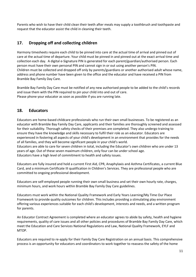Parents who wish to have their child clean their teeth after meals may supply a toothbrush and toothpaste and request that the educator assist the child in cleaning their teeth.

# <span id="page-10-0"></span>**17. Dropping off and collecting children**

Harmony timesheets require each child to be pinned into care at the actual time of arrival and pinned out of care at the actual time of departure. Your child must be pinned in and pinned out at the exact arrival time and collection each day. A digital e-Signature PIN is generated for each parent/guardian/authorised person. Each person must have their own personal PIN and cannot sign in or out using another person's PIN. Children must be collected and dropped off only by parents/guardians or another authorised adult whose name, address and phone number have been given to the office and the educator and have received a PIN from Bramble Bay Family Day Care.

Bramble Bay Family Day Care must be notified of any new authorised people to be added to the child's records and issue them with the PIN required to pin your child into and out of care. Please phone your educator as soon as possible if you are running late.

# <span id="page-10-1"></span>**18. Educators**

Educators are home-based childcare professionals who run their own small businesses. To be registered as an educator with Bramble Bay Family Day Care, applicants and their families are thoroughly screened and assessed for their suitability. Thorough safety checks of their premises are completed. They also undergo training to ensure they have the knowledge and skills necessary to fulfil their role as an educator. Educators are experienced in fostering all aspects of your child's development in an environment that provides for the needs of all families, and they will become significant people in your child's world.

Educators are able to care for seven children in total, including the Educator's own children who are under 13 years of age. Out of these seven maximum children, only four can be under school age. Educators have a high level of commitment to health and safety issues.

Educators are fully insured and hold a current First Aid, CPR, Anaphylaxis and Asthma Certificates, a current Blue Card, and a minimum Certificate III qualification in Children's Services. They are professional people who are committed to ongoing professional development.

Educators are self-employed people running their own small business and set their own hourly rate, charges, minimum hours, and work hours within Bramble Bay Family Day Care guidelines.

Educators must work within the National Quality Framework and Early Years Learning/My Time Our Place Framework to provide quality outcomes for children. This includes providing a stimulating play environment offering various experiences suitable for each child's development, interests and needs, and a written program for parents.

An Educator Contract Agreement is completed where an educator agrees to abide by safety, health and hygiene requirements, quality of care issues and all other policies and procedures of Bramble Bay Family Day Care, which meet the Education and Care Services National Regulations and Law, National Quality Framework, EYLF and MTOP.

Educators are required to re-apply for their Family Day Care Registration on an annual basis. This comprehensive process is an opportunity for educators and coordinators to work together to reassess the safety of the home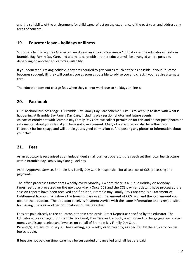and the suitability of the environment for child care, reflect on the experience of the past year, and address any areas of concern.

# <span id="page-11-0"></span>**19. Educator leave - holidays or illness**

Suppose a family requires Alternate Care during an educator's absence? In that case, the educator will inform Bramble Bay Family Day Care, and alternate care with another educator will be arranged where possible, depending on another educator's availability.

If your educator is taking holidays, they are required to give you as much notice as possible. If your Educator becomes suddenly ill, they will contact you as soon as possible to advise you and check if you require alternate care.

The educator does not charge fees when they cannot work due to holidays or illness.

#### <span id="page-11-1"></span>**20. Facebook**

Our Facebook business page is "Bramble Bay Family Day Care Scheme". Like us to keep up to date with what is happening at Bramble Bay Family Day Care, including play session photos and future events. As part of enrolment with Bramble Bay Family Day Care, we collect permission for this and do not post photos or information about your child if you have not given consent. Many of our educators also have their own Facebook business page and will obtain your signed permission before posting any photos or information about your child.

#### <span id="page-11-2"></span>**21. Fees**

As an educator is recognised as an independent small business operator, they each set their own fee structure within Bramble Bay Family Day Care guidelines.

As the Approved Service, Bramble Bay Family Day Care is responsible for all aspects of CCS processing and payments.

The office processes timesheets weekly every Monday. (Where there is a Public Holiday on Monday, timesheets are processed on the next workday.) Once CCS and the CCS payment details have processed the session reports have been received and finalised, Bramble Bay Family Day Care emails a Statement of Entitlement to you which shows the hours of care used, the amount of CCS paid and the gap amount you owe to the educator. The educator receives Payment Advice with the same information and is responsible for issuing invoices or other notifications of the fees due.

Fees are paid directly to the educator, either in cash or via Direct Deposit as specified by the educator. The Educator acts as an agent for Bramble Bay Family Day Care and, as such, is authorised to charge gap fees, collect money and issue receipts and invoices on behalf of Bramble Bay Family Day Care. Parents/guardians must pay all fees owing, e.g. weekly or fortnightly, as specified by the educator on the fee schedule.

If fees are not paid on time, care may be suspended or cancelled until all fees are paid.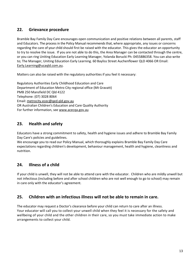# <span id="page-12-0"></span>**22. Grievance procedure**

Bramble Bay Family Day Care encourages open communication and positive relations between all parents, staff and Educators. The process in the Policy Manual recommends that, where appropriate, any issues or concerns regarding the care of your child should first be raised with the educator. This gives the educator an opportunity to try to resolve the issue. If you are not able to do this, the Area Manager can be contacted through the centre, or you can ring Uniting Education Early Learning Manager, Yolanda Borucki Ph: 0455886358. You can also write to; The Manager, Uniting Education Early Learning. 60 Bayliss Street Auchenflower QLD 4066 OR Email: [Early.Learning@ucaqld.com.au.](mailto:Early.Learning@ucaqld.com.au)

Matters can also be raised with the regulatory authorities if you feel it necessary:

Regulatory Authorities Early Childhood Education and Care Department of Education Metro City regional office (Mt Gravatt) PMB 250 Mansfield DC Qld 4122 Telephone: (07) 3028 8064 Email: [metrocity.ecec@qed.qld.gov.au](mailto:metrocity.ecec@qed.qld.gov.au)  OR Australian Children's Education and Care Quality Authority For further information, see [www.acecqa.gov.au](http://www.acecqa.gov.au/)

# <span id="page-12-1"></span>**23. Health and safety**

Educators have a strong commitment to safety, health and hygiene issues and adhere to Bramble Bay Family Day Care's policies and guidelines.

We encourage you to read our Policy Manual, which thoroughly explains Bramble Bay Family Day Care expectations regarding children's development, behaviour management, health and hygiene, cleanliness and nutrition.

# <span id="page-12-2"></span>**24. Illness of a child**

If your child is unwell, they will not be able to attend care with the educator. Children who are mildly unwell but not infectious (including before and after school children who are not well enough to go to school) may remain in care only with the educator's agreement.

# <span id="page-12-3"></span>**25. Children with an infectious illness will not be able to remain in care.**

The educator may request a Doctor's clearance before your child can return to care after an illness. Your educator will call you to collect your unwell child when they feel it is necessary for the safety and wellbeing of your child and the other children in their care, so you must take immediate action to make arrangements to collect your child.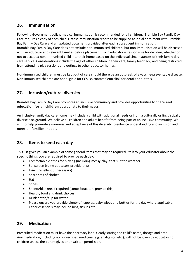# <span id="page-13-0"></span>**26. Immunisation**

Following Government policy, medical immunisation is recommended for all children. Bramble Bay Family Day Care requires a copy of each child's latest immunisation record to be supplied at initial enrolment with Bramble Bay Family Day Care and an updated document provided after each subsequent immunisation. Bramble Bay Family Day Care does not exclude non-immunised children, but non-immunisation will be discussed with an educator and relevant families before placement. Each educator is responsible for deciding whether or not to accept a non-immunised child into their home based on the individual circumstances of their family day care service. Considerations include the age of other children in their care, family feedback, and being restricted from attending play sessions and outings to other educator homes.

Non-immunised children must be kept out of care should there be an outbreak of a vaccine-preventable disease. Non-immunised children are not eligible for CCS, so contact Centrelink for details about this.

# <span id="page-13-1"></span>**27. Inclusion/cultural diversity**

Bramble Bay Family Day Care promotes an inclusive community and provides opportunities for care and education for all children appropriate to their needs.

An inclusive family day care home may include a child with additional needs or from a culturally or linguistically diverse background. We believe all children and adults benefit from being part of an inclusive community. We aim to help promote awareness and acceptance of this diversity to enhance understanding and inclusion and meet all families' needs.

# <span id="page-13-2"></span>**28. Items to send each day**

This list gives you an example of some general items that may be required - talk to your educator about the specific things you are required to provide each day.

- Comfortable clothes for playing (including messy play) that suit the weather
- Sunscreen (some educators provide this)
- Insect repellent (if necessary)
- Spare sets of clothes
- Hat
- Shoes
- Sheets/blankets if required (some Educators provide this)
- Healthy food and drink choices
- Drink bottle/cup for water
- Please ensure you provide plenty of nappies, baby wipes and bottles for the day where applicable. Other essentials may include bibs, tissues etc

#### <span id="page-13-3"></span>**29. Medication**

Prescribed medication must have the pharmacy label clearly stating the child's name, dosage and date. Any medication, including non-prescribed medicine (e.g. analgesics, etc.), will not be given by educators to children unless the parent gives prior written permission.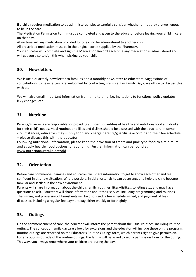If a child requires medication to be administered, please carefully consider whether or not they are well enough to be in the care.

The Medication Permission Form must be completed and given to the educator before leaving your child in care on that day.

At no time will any medication provided for one child be administered to another child.

All prescribed medication must be in the original bottle supplied by the Pharmacy.

Your educator will complete and sign the Medication Record each time any medication is administered and will get you also to sign this when picking up your child.

#### <span id="page-14-0"></span>**30. Newsletters**

We issue a quarterly newsletter to families and a monthly newsletter to educators. Suggestions of contributions to newsletters are welcomed by contacting Bramble Bay Family Day Care office to discuss this with us.

We will also email important information from time to time, i.e. Invitations to functions, policy updates, levy changes, etc.

# <span id="page-14-1"></span>**31. Nutrition**

Parents/guardians are responsible for providing sufficient quantities of healthy and nutritious food and drinks for their child's needs. Meal routines and likes and dislikes should be discussed with the educator. In some circumstances, educators may supply food and charge parents/guardians according to their fee schedule – please discuss this with the educator.

Following nutritional information, please keep the provision of treats and junk type food to a minimum and supply healthy food options for your child. Further information can be found at [www.nutritionaustralia.org/qld](http://www.nutritionaustralia.org/qld)

# <span id="page-14-2"></span>**32. Orientation**

Before care commences, families and educators will share information to get to know each other and feel confident in this new situation. Where possible, initial shorter visits can be arranged to help the child become familiar and settled in the new environment.

Parents will share information about the child's family, routines, likes/dislikes, toileting etc., and may have questions to ask. Educators will share information about their service, including programming and routines. The signing and processing of timesheets will be discussed, a fee schedule signed, and payment of fees discussed, including a regular fee payment day either weekly or fortnightly.

# <span id="page-14-3"></span>**33. Outings**

On the commencement of care, the educator will inform the parent about the usual routines, including routine outings. The concept of family daycare allows for excursions and the educator will include these on the program. Routine outings are recorded on the Educator's Routine Outings form, which parents sign to give permission. For any outings outside of the routine outings, the family will be asked to sign a permission form for the outing. This way, you always know where your children are during the day.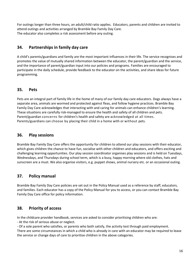For outings longer than three hours, an adult/child ratio applies. Educators, parents and children are invited to attend outings and activities arranged by Bramble Bay Family Day Care. The educator also completes a risk assessment before any outing.

# <span id="page-15-0"></span>**34. Partnerships in family day care**

A child's parents/guardians and family are the most important influences in their life. The service recognises and promotes the value of mutually shared information between the educator, the parent/guardian and the service, and the importance of parent/guardian input into our policies and programs. Families are encouraged to participate in the daily schedule, provide feedback to the educator on the activities, and share ideas for future programming.

# <span id="page-15-1"></span>**35. Pets**

Pets are an integral part of family life in the home of many of our family day care educators. Dogs always have a separate area, animals are wormed and protected against fleas, and follow hygiene practices. Bramble Bay Family Day Care acknowledges that interacting with and caring for animals can enhance children's learning. These situations are carefully risk-managed to ensure the health and safety of all children and pets. Parent/guardian concerns for children's health and safety are acknowledged at all times. Parents/guardians can choose by placing their child in a home with or without pets.

#### <span id="page-15-2"></span>**36. Play sessions**

Bramble Bay Family Day Care offers the opportunity for children to attend our play sessions with their educator, which gives children the chance to have fun, socialise with other children and educators, and offers exciting and challenging learning opportunities. Our play session coordinator organises play sessions and is held on Tuesdays, Wednesdays, and Thursdays during school term, which is a busy, happy morning where old clothes, hats and sunscreen are a must. We also organise visitors, e.g. puppet shows, animal nursery etc. or an occasional outing.

# <span id="page-15-3"></span>**37. Policy manual**

Bramble Bay Family Day Care policies are set out in the Policy Manual used as a reference by staff, educators, and families. Each educator has a copy of the Policy Manual for you to access, or you can contact Bramble Bay Family Day Care office for policy information.

#### <span id="page-15-4"></span>**38. Priority of access**

In the childcare provider handbook, services are asked to consider prioritising children who are:

- At the risk of serious abuse or neglect.

- Of a sole parent who satisfies, or parents who both satisfy, the activity test through paid employment.

There are some circumstances in which a child who is already in care with an educator may be required to leave the service or change days of care to prioritise children in the above categories.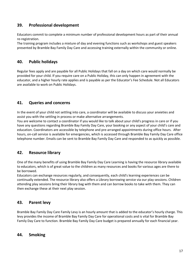# <span id="page-16-0"></span>**39. Professional development**

Educators commit to complete a minimum number of professional development hours as part of their annual re-registration.

The training program includes a mixture of day and evening functions such as workshops and guest speakers presented by Bramble Bay Family Day Care and accessing training externally within the community or online.

## <span id="page-16-1"></span>**40. Public holidays**

Regular fees apply and are payable for all Public Holidays that fall on a day on which care would normally be provided for your child. If you require care on a Public Holiday, this can only happen in agreement with the educator, and a higher hourly rate applies and is payable as per the Educator's Fee Schedule. Not all Educators are available to work on Public Holidays.

# <span id="page-16-2"></span>**41. Queries and concerns**

In the event of your child not settling into care, a coordinator will be available to discuss your anxieties and assist you with the settling in process or make alternative arrangements.

You are welcome to contact a coordinator if you would like to talk about your child's progress in care or if you have any questions regarding Bramble Bay Family Day Care, your booking or any aspect of your child's care and education. Coordinators are accessible by telephone and pre-arranged appointments during office hours. After hours, on-call service is available for emergencies, which is accessed through Bramble Bay Family Day Care office telephone number. Emails can be sent to Bramble Bay Family Day Care and responded to as quickly as possible.

# <span id="page-16-3"></span>**42. Resource library**

One of the many benefits of using Bramble Bay Family Day Care Learning is having the resource library available to educators, which is of great value to the children as many resources and books for various ages are there to be borrowed.

Educators can exchange resources regularly, and consequently, each child's learning experiences can be continually extended. The resource library also offers a Library borrowing service via our play sessions. Children attending play sessions bring their library bag with them and can borrow books to take with them. They can then exchange these at their next play session.

# <span id="page-16-4"></span>**43. Parent levy**

Bramble Bay Family Day Care Family Levy is an hourly amount that is added to the educator's hourly charge. This levy provides the income of Bramble Bay Family Day Care for operational costs and is vital for Bramble Bay Family Day Care to function. Bramble Bay Family Day Care budget is prepared annually for each financial year.

#### <span id="page-16-5"></span>**44. Smoking**